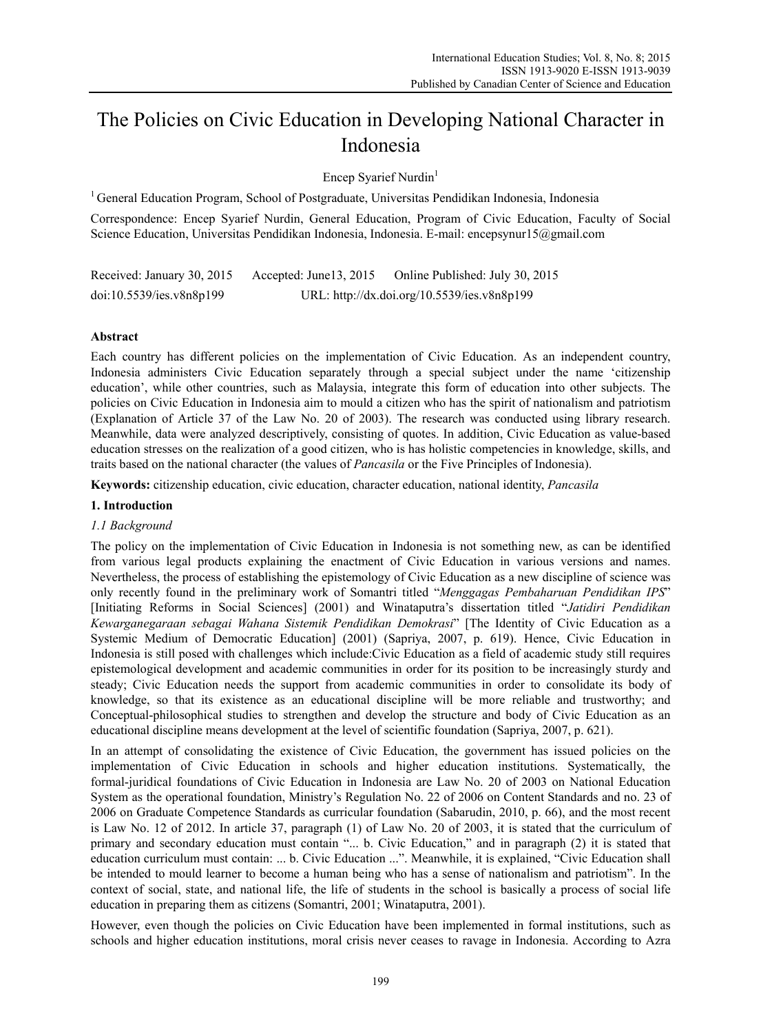# The Policies on Civic Education in Developing National Character in Indonesia

Encep Syarief Nurdin<sup>1</sup>

<sup>1</sup> General Education Program, School of Postgraduate, Universitas Pendidikan Indonesia, Indonesia

Correspondence: Encep Syarief Nurdin, General Education, Program of Civic Education, Faculty of Social Science Education, Universitas Pendidikan Indonesia, Indonesia. E-mail: encepsynur15@gmail.com

Received: January 30, 2015 Accepted: June13, 2015 Online Published: July 30, 2015 doi:10.5539/ies.v8n8p199 URL: http://dx.doi.org/10.5539/ies.v8n8p199

# **Abstract**

Each country has different policies on the implementation of Civic Education. As an independent country, Indonesia administers Civic Education separately through a special subject under the name 'citizenship education', while other countries, such as Malaysia, integrate this form of education into other subjects. The policies on Civic Education in Indonesia aim to mould a citizen who has the spirit of nationalism and patriotism (Explanation of Article 37 of the Law No. 20 of 2003). The research was conducted using library research. Meanwhile, data were analyzed descriptively, consisting of quotes. In addition, Civic Education as value-based education stresses on the realization of a good citizen, who is has holistic competencies in knowledge, skills, and traits based on the national character (the values of *Pancasila* or the Five Principles of Indonesia).

**Keywords:** citizenship education, civic education, character education, national identity, *Pancasila*

## **1. Introduction**

# *1.1 Background*

The policy on the implementation of Civic Education in Indonesia is not something new, as can be identified from various legal products explaining the enactment of Civic Education in various versions and names. Nevertheless, the process of establishing the epistemology of Civic Education as a new discipline of science was only recently found in the preliminary work of Somantri titled "*Menggagas Pembaharuan Pendidikan IPS*" [Initiating Reforms in Social Sciences] (2001) and Winataputra's dissertation titled "*Jatidiri Pendidikan Kewarganegaraan sebagai Wahana Sistemik Pendidikan Demokrasi*" [The Identity of Civic Education as a Systemic Medium of Democratic Education] (2001) (Sapriya, 2007, p. 619). Hence, Civic Education in Indonesia is still posed with challenges which include:Civic Education as a field of academic study still requires epistemological development and academic communities in order for its position to be increasingly sturdy and steady; Civic Education needs the support from academic communities in order to consolidate its body of knowledge, so that its existence as an educational discipline will be more reliable and trustworthy; and Conceptual-philosophical studies to strengthen and develop the structure and body of Civic Education as an educational discipline means development at the level of scientific foundation (Sapriya, 2007, p. 621).

In an attempt of consolidating the existence of Civic Education, the government has issued policies on the implementation of Civic Education in schools and higher education institutions. Systematically, the formal-juridical foundations of Civic Education in Indonesia are Law No. 20 of 2003 on National Education System as the operational foundation, Ministry's Regulation No. 22 of 2006 on Content Standards and no. 23 of 2006 on Graduate Competence Standards as curricular foundation (Sabarudin, 2010, p. 66), and the most recent is Law No. 12 of 2012. In article 37, paragraph (1) of Law No. 20 of 2003, it is stated that the curriculum of primary and secondary education must contain "... b. Civic Education," and in paragraph (2) it is stated that education curriculum must contain: ... b. Civic Education ...". Meanwhile, it is explained, "Civic Education shall be intended to mould learner to become a human being who has a sense of nationalism and patriotism". In the context of social, state, and national life, the life of students in the school is basically a process of social life education in preparing them as citizens (Somantri, 2001; Winataputra, 2001).

However, even though the policies on Civic Education have been implemented in formal institutions, such as schools and higher education institutions, moral crisis never ceases to ravage in Indonesia. According to Azra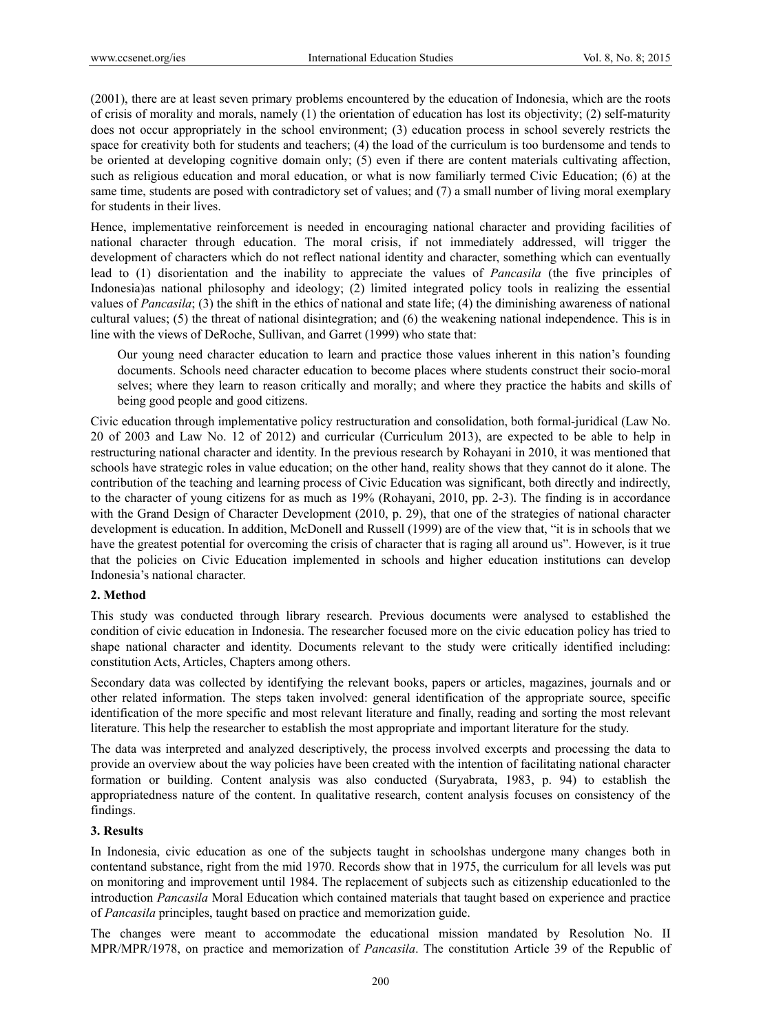(2001), there are at least seven primary problems encountered by the education of Indonesia, which are the roots of crisis of morality and morals, namely (1) the orientation of education has lost its objectivity; (2) self-maturity does not occur appropriately in the school environment; (3) education process in school severely restricts the space for creativity both for students and teachers; (4) the load of the curriculum is too burdensome and tends to be oriented at developing cognitive domain only; (5) even if there are content materials cultivating affection, such as religious education and moral education, or what is now familiarly termed Civic Education; (6) at the same time, students are posed with contradictory set of values; and (7) a small number of living moral exemplary for students in their lives.

Hence, implementative reinforcement is needed in encouraging national character and providing facilities of national character through education. The moral crisis, if not immediately addressed, will trigger the development of characters which do not reflect national identity and character, something which can eventually lead to (1) disorientation and the inability to appreciate the values of *Pancasila* (the five principles of Indonesia)as national philosophy and ideology; (2) limited integrated policy tools in realizing the essential values of *Pancasila*; (3) the shift in the ethics of national and state life; (4) the diminishing awareness of national cultural values; (5) the threat of national disintegration; and (6) the weakening national independence. This is in line with the views of DeRoche, Sullivan, and Garret (1999) who state that:

Our young need character education to learn and practice those values inherent in this nation's founding documents. Schools need character education to become places where students construct their socio-moral selves; where they learn to reason critically and morally; and where they practice the habits and skills of being good people and good citizens.

Civic education through implementative policy restructuration and consolidation, both formal-juridical (Law No. 20 of 2003 and Law No. 12 of 2012) and curricular (Curriculum 2013), are expected to be able to help in restructuring national character and identity. In the previous research by Rohayani in 2010, it was mentioned that schools have strategic roles in value education; on the other hand, reality shows that they cannot do it alone. The contribution of the teaching and learning process of Civic Education was significant, both directly and indirectly, to the character of young citizens for as much as 19% (Rohayani, 2010, pp. 2-3). The finding is in accordance with the Grand Design of Character Development (2010, p. 29), that one of the strategies of national character development is education. In addition, McDonell and Russell (1999) are of the view that, "it is in schools that we have the greatest potential for overcoming the crisis of character that is raging all around us". However, is it true that the policies on Civic Education implemented in schools and higher education institutions can develop Indonesia's national character.

## **2. Method**

This study was conducted through library research. Previous documents were analysed to established the condition of civic education in Indonesia. The researcher focused more on the civic education policy has tried to shape national character and identity. Documents relevant to the study were critically identified including: constitution Acts, Articles, Chapters among others.

Secondary data was collected by identifying the relevant books, papers or articles, magazines, journals and or other related information. The steps taken involved: general identification of the appropriate source, specific identification of the more specific and most relevant literature and finally, reading and sorting the most relevant literature. This help the researcher to establish the most appropriate and important literature for the study.

The data was interpreted and analyzed descriptively, the process involved excerpts and processing the data to provide an overview about the way policies have been created with the intention of facilitating national character formation or building. Content analysis was also conducted (Suryabrata, 1983, p. 94) to establish the appropriatedness nature of the content. In qualitative research, content analysis focuses on consistency of the findings.

## **3. Results**

In Indonesia, civic education as one of the subjects taught in schoolshas undergone many changes both in contentand substance, right from the mid 1970. Records show that in 1975, the curriculum for all levels was put on monitoring and improvement until 1984. The replacement of subjects such as citizenship educationled to the introduction *Pancasila* Moral Education which contained materials that taught based on experience and practice of *Pancasila* principles, taught based on practice and memorization guide.

The changes were meant to accommodate the educational mission mandated by Resolution No. II MPR/MPR/1978, on practice and memorization of *Pancasila*. The constitution Article 39 of the Republic of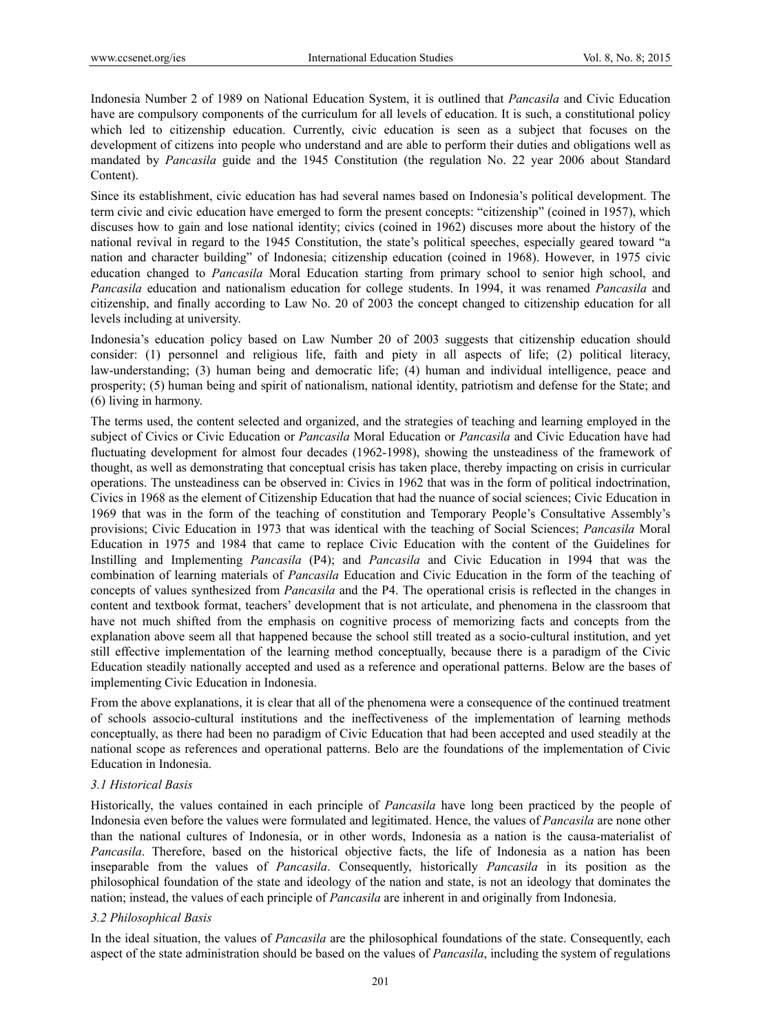Indonesia Number 2 of 1989 on National Education System, it is outlined that *Pancasila* and Civic Education have are compulsory components of the curriculum for all levels of education. It is such, a constitutional policy which led to citizenship education. Currently, civic education is seen as a subject that focuses on the development of citizens into people who understand and are able to perform their duties and obligations well as mandated by *Pancasila* guide and the 1945 Constitution (the regulation No. 22 year 2006 about Standard Content).

Since its establishment, civic education has had several names based on Indonesia's political development. The term civic and civic education have emerged to form the present concepts: "citizenship" (coined in 1957), which discuses how to gain and lose national identity; civics (coined in 1962) discuses more about the history of the national revival in regard to the 1945 Constitution, the state's political speeches, especially geared toward "a nation and character building" of Indonesia; citizenship education (coined in 1968). However, in 1975 civic education changed to *Pancasila* Moral Education starting from primary school to senior high school, and *Pancasila* education and nationalism education for college students. In 1994, it was renamed *Pancasila* and citizenship, and finally according to Law No. 20 of 2003 the concept changed to citizenship education for all levels including at university.

Indonesia's education policy based on Law Number 20 of 2003 suggests that citizenship education should consider: (1) personnel and religious life, faith and piety in all aspects of life; (2) political literacy, law-understanding; (3) human being and democratic life; (4) human and individual intelligence, peace and prosperity; (5) human being and spirit of nationalism, national identity, patriotism and defense for the State; and (6) living in harmony.

The terms used, the content selected and organized, and the strategies of teaching and learning employed in the subject of Civics or Civic Education or *Pancasila* Moral Education or *Pancasila* and Civic Education have had fluctuating development for almost four decades (1962-1998), showing the unsteadiness of the framework of thought, as well as demonstrating that conceptual crisis has taken place, thereby impacting on crisis in curricular operations. The unsteadiness can be observed in: Civics in 1962 that was in the form of political indoctrination, Civics in 1968 as the element of Citizenship Education that had the nuance of social sciences; Civic Education in 1969 that was in the form of the teaching of constitution and Temporary People's Consultative Assembly's provisions; Civic Education in 1973 that was identical with the teaching of Social Sciences; *Pancasila* Moral Education in 1975 and 1984 that came to replace Civic Education with the content of the Guidelines for Instilling and Implementing *Pancasila* (P4); and *Pancasila* and Civic Education in 1994 that was the combination of learning materials of *Pancasila* Education and Civic Education in the form of the teaching of concepts of values synthesized from *Pancasila* and the P4. The operational crisis is reflected in the changes in content and textbook format, teachers' development that is not articulate, and phenomena in the classroom that have not much shifted from the emphasis on cognitive process of memorizing facts and concepts from the explanation above seem all that happened because the school still treated as a socio-cultural institution, and yet still effective implementation of the learning method conceptually, because there is a paradigm of the Civic Education steadily nationally accepted and used as a reference and operational patterns. Below are the bases of implementing Civic Education in Indonesia.

From the above explanations, it is clear that all of the phenomena were a consequence of the continued treatment of schools associo-cultural institutions and the ineffectiveness of the implementation of learning methods conceptually, as there had been no paradigm of Civic Education that had been accepted and used steadily at the national scope as references and operational patterns. Belo are the foundations of the implementation of Civic Education in Indonesia.

## *3.1 Historical Basis*

Historically, the values contained in each principle of *Pancasila* have long been practiced by the people of Indonesia even before the values were formulated and legitimated. Hence, the values of *Pancasila* are none other than the national cultures of Indonesia, or in other words, Indonesia as a nation is the causa-materialist of *Pancasila*. Therefore, based on the historical objective facts, the life of Indonesia as a nation has been inseparable from the values of *Pancasila*. Consequently, historically *Pancasila* in its position as the philosophical foundation of the state and ideology of the nation and state, is not an ideology that dominates the nation; instead, the values of each principle of *Pancasila* are inherent in and originally from Indonesia.

## *3.2 Philosophical Basis*

In the ideal situation, the values of *Pancasila* are the philosophical foundations of the state. Consequently, each aspect of the state administration should be based on the values of *Pancasila*, including the system of regulations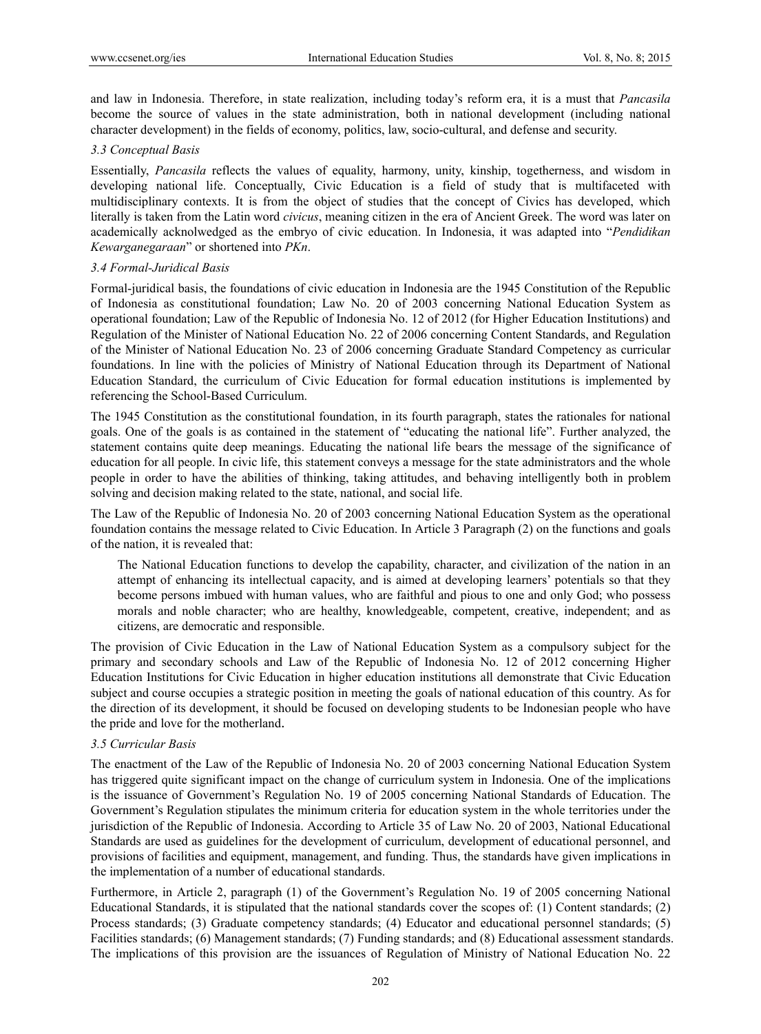and law in Indonesia. Therefore, in state realization, including today's reform era, it is a must that *Pancasila* become the source of values in the state administration, both in national development (including national character development) in the fields of economy, politics, law, socio-cultural, and defense and security.

## *3.3 Conceptual Basis*

Essentially, *Pancasila* reflects the values of equality, harmony, unity, kinship, togetherness, and wisdom in developing national life. Conceptually, Civic Education is a field of study that is multifaceted with multidisciplinary contexts. It is from the object of studies that the concept of Civics has developed, which literally is taken from the Latin word *civicus*, meaning citizen in the era of Ancient Greek. The word was later on academically acknolwedged as the embryo of civic education. In Indonesia, it was adapted into "*Pendidikan Kewarganegaraan*" or shortened into *PKn*.

## *3.4 Formal-Juridical Basis*

Formal-juridical basis, the foundations of civic education in Indonesia are the 1945 Constitution of the Republic of Indonesia as constitutional foundation; Law No. 20 of 2003 concerning National Education System as operational foundation; Law of the Republic of Indonesia No. 12 of 2012 (for Higher Education Institutions) and Regulation of the Minister of National Education No. 22 of 2006 concerning Content Standards, and Regulation of the Minister of National Education No. 23 of 2006 concerning Graduate Standard Competency as curricular foundations. In line with the policies of Ministry of National Education through its Department of National Education Standard, the curriculum of Civic Education for formal education institutions is implemented by referencing the School-Based Curriculum.

The 1945 Constitution as the constitutional foundation, in its fourth paragraph, states the rationales for national goals. One of the goals is as contained in the statement of "educating the national life". Further analyzed, the statement contains quite deep meanings. Educating the national life bears the message of the significance of education for all people. In civic life, this statement conveys a message for the state administrators and the whole people in order to have the abilities of thinking, taking attitudes, and behaving intelligently both in problem solving and decision making related to the state, national, and social life.

The Law of the Republic of Indonesia No. 20 of 2003 concerning National Education System as the operational foundation contains the message related to Civic Education. In Article 3 Paragraph (2) on the functions and goals of the nation, it is revealed that:

The National Education functions to develop the capability, character, and civilization of the nation in an attempt of enhancing its intellectual capacity, and is aimed at developing learners' potentials so that they become persons imbued with human values, who are faithful and pious to one and only God; who possess morals and noble character; who are healthy, knowledgeable, competent, creative, independent; and as citizens, are democratic and responsible.

The provision of Civic Education in the Law of National Education System as a compulsory subject for the primary and secondary schools and Law of the Republic of Indonesia No. 12 of 2012 concerning Higher Education Institutions for Civic Education in higher education institutions all demonstrate that Civic Education subject and course occupies a strategic position in meeting the goals of national education of this country. As for the direction of its development, it should be focused on developing students to be Indonesian people who have the pride and love for the motherland.

## *3.5 Curricular Basis*

The enactment of the Law of the Republic of Indonesia No. 20 of 2003 concerning National Education System has triggered quite significant impact on the change of curriculum system in Indonesia. One of the implications is the issuance of Government's Regulation No. 19 of 2005 concerning National Standards of Education. The Government's Regulation stipulates the minimum criteria for education system in the whole territories under the jurisdiction of the Republic of Indonesia. According to Article 35 of Law No. 20 of 2003, National Educational Standards are used as guidelines for the development of curriculum, development of educational personnel, and provisions of facilities and equipment, management, and funding. Thus, the standards have given implications in the implementation of a number of educational standards.

Furthermore, in Article 2, paragraph (1) of the Government's Regulation No. 19 of 2005 concerning National Educational Standards, it is stipulated that the national standards cover the scopes of: (1) Content standards; (2) Process standards; (3) Graduate competency standards; (4) Educator and educational personnel standards; (5) Facilities standards; (6) Management standards; (7) Funding standards; and (8) Educational assessment standards. The implications of this provision are the issuances of Regulation of Ministry of National Education No. 22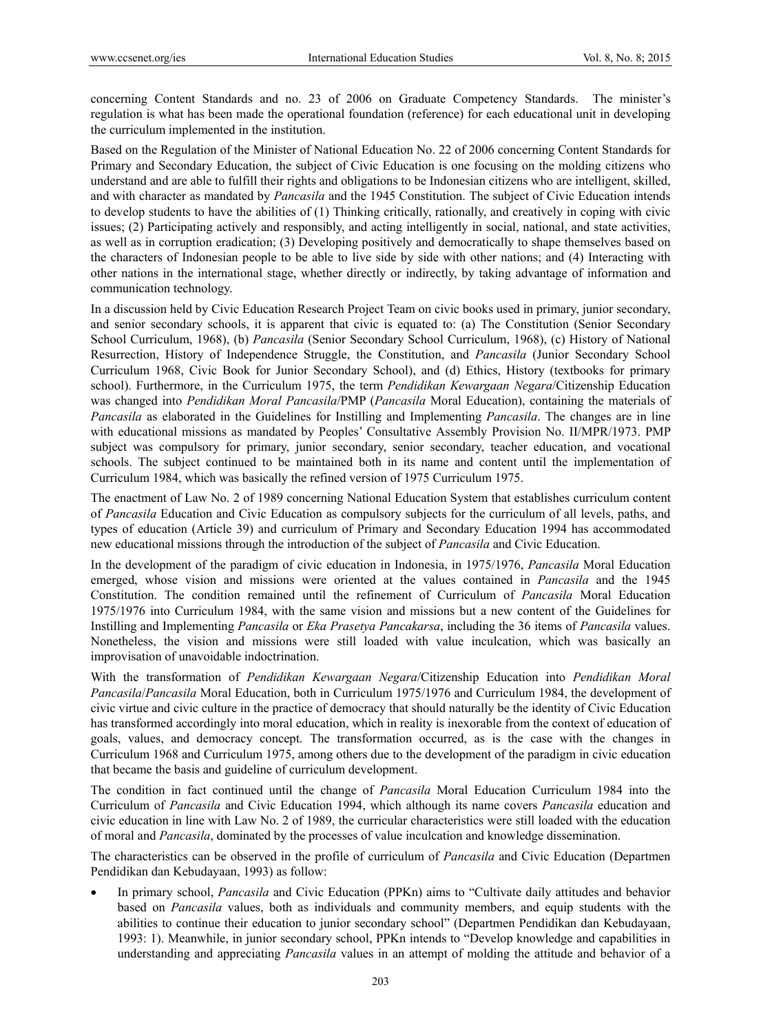concerning Content Standards and no. 23 of 2006 on Graduate Competency Standards. The minister's regulation is what has been made the operational foundation (reference) for each educational unit in developing the curriculum implemented in the institution.

Based on the Regulation of the Minister of National Education No. 22 of 2006 concerning Content Standards for Primary and Secondary Education, the subject of Civic Education is one focusing on the molding citizens who understand and are able to fulfill their rights and obligations to be Indonesian citizens who are intelligent, skilled, and with character as mandated by *Pancasila* and the 1945 Constitution. The subject of Civic Education intends to develop students to have the abilities of (1) Thinking critically, rationally, and creatively in coping with civic issues; (2) Participating actively and responsibly, and acting intelligently in social, national, and state activities, as well as in corruption eradication; (3) Developing positively and democratically to shape themselves based on the characters of Indonesian people to be able to live side by side with other nations; and (4) Interacting with other nations in the international stage, whether directly or indirectly, by taking advantage of information and communication technology.

In a discussion held by Civic Education Research Project Team on civic books used in primary, junior secondary, and senior secondary schools, it is apparent that civic is equated to: (a) The Constitution (Senior Secondary School Curriculum, 1968), (b) *Pancasila* (Senior Secondary School Curriculum, 1968), (c) History of National Resurrection, History of Independence Struggle, the Constitution, and *Pancasila* (Junior Secondary School Curriculum 1968, Civic Book for Junior Secondary School), and (d) Ethics, History (textbooks for primary school). Furthermore, in the Curriculum 1975, the term *Pendidikan Kewargaan Negara*/Citizenship Education was changed into *Pendidikan Moral Pancasila*/PMP (*Pancasila* Moral Education), containing the materials of *Pancasila* as elaborated in the Guidelines for Instilling and Implementing *Pancasila*. The changes are in line with educational missions as mandated by Peoples' Consultative Assembly Provision No. II/MPR/1973. PMP subject was compulsory for primary, junior secondary, senior secondary, teacher education, and vocational schools. The subject continued to be maintained both in its name and content until the implementation of Curriculum 1984, which was basically the refined version of 1975 Curriculum 1975.

The enactment of Law No. 2 of 1989 concerning National Education System that establishes curriculum content of *Pancasila* Education and Civic Education as compulsory subjects for the curriculum of all levels, paths, and types of education (Article 39) and curriculum of Primary and Secondary Education 1994 has accommodated new educational missions through the introduction of the subject of *Pancasila* and Civic Education.

In the development of the paradigm of civic education in Indonesia, in 1975/1976, *Pancasila* Moral Education emerged, whose vision and missions were oriented at the values contained in *Pancasila* and the 1945 Constitution. The condition remained until the refinement of Curriculum of *Pancasila* Moral Education 1975/1976 into Curriculum 1984, with the same vision and missions but a new content of the Guidelines for Instilling and Implementing *Pancasila* or *Eka Prasetya Pancakarsa*, including the 36 items of *Pancasila* values. Nonetheless, the vision and missions were still loaded with value inculcation, which was basically an improvisation of unavoidable indoctrination.

With the transformation of *Pendidikan Kewargaan Negara*/Citizenship Education into *Pendidikan Moral Pancasila*/*Pancasila* Moral Education, both in Curriculum 1975/1976 and Curriculum 1984, the development of civic virtue and civic culture in the practice of democracy that should naturally be the identity of Civic Education has transformed accordingly into moral education, which in reality is inexorable from the context of education of goals, values, and democracy concept. The transformation occurred, as is the case with the changes in Curriculum 1968 and Curriculum 1975, among others due to the development of the paradigm in civic education that became the basis and guideline of curriculum development.

The condition in fact continued until the change of *Pancasila* Moral Education Curriculum 1984 into the Curriculum of *Pancasila* and Civic Education 1994, which although its name covers *Pancasila* education and civic education in line with Law No. 2 of 1989, the curricular characteristics were still loaded with the education of moral and *Pancasila*, dominated by the processes of value inculcation and knowledge dissemination.

The characteristics can be observed in the profile of curriculum of *Pancasila* and Civic Education (Departmen Pendidikan dan Kebudayaan, 1993) as follow:

 In primary school, *Pancasila* and Civic Education (PPKn) aims to "Cultivate daily attitudes and behavior based on *Pancasila* values, both as individuals and community members, and equip students with the abilities to continue their education to junior secondary school" (Departmen Pendidikan dan Kebudayaan, 1993: 1). Meanwhile, in junior secondary school, PPKn intends to "Develop knowledge and capabilities in understanding and appreciating *Pancasila* values in an attempt of molding the attitude and behavior of a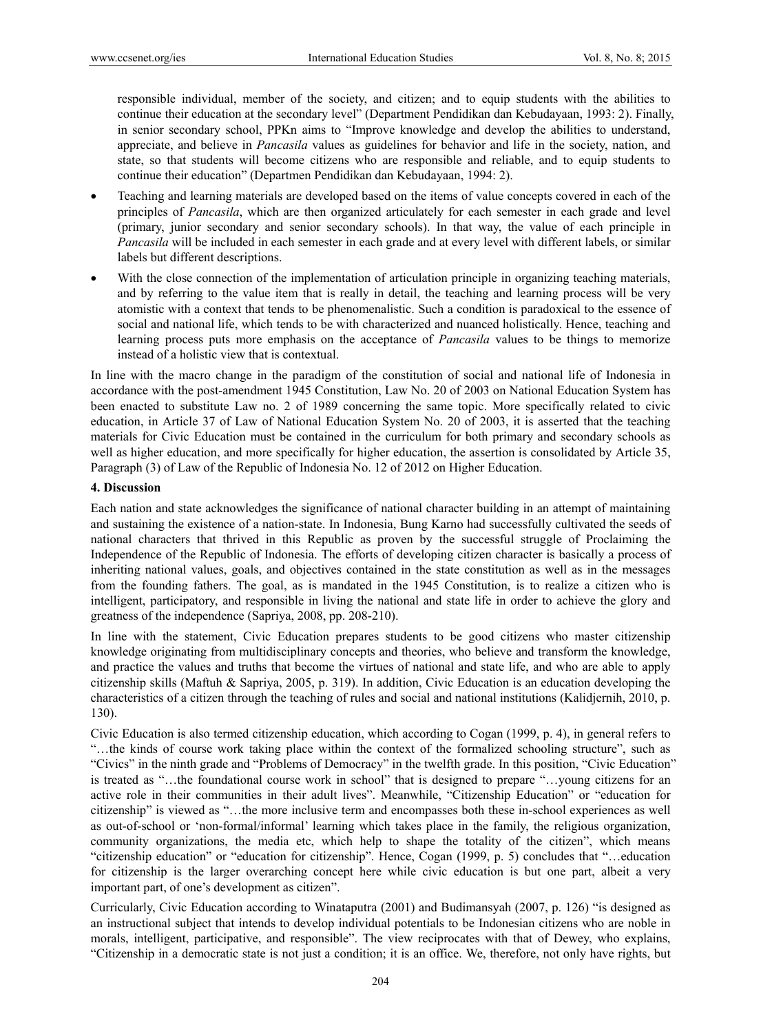responsible individual, member of the society, and citizen; and to equip students with the abilities to continue their education at the secondary level" (Department Pendidikan dan Kebudayaan, 1993: 2). Finally, in senior secondary school, PPKn aims to "Improve knowledge and develop the abilities to understand, appreciate, and believe in *Pancasila* values as guidelines for behavior and life in the society, nation, and state, so that students will become citizens who are responsible and reliable, and to equip students to continue their education" (Departmen Pendidikan dan Kebudayaan, 1994: 2).

- Teaching and learning materials are developed based on the items of value concepts covered in each of the principles of *Pancasila*, which are then organized articulately for each semester in each grade and level (primary, junior secondary and senior secondary schools). In that way, the value of each principle in *Pancasila* will be included in each semester in each grade and at every level with different labels, or similar labels but different descriptions.
- With the close connection of the implementation of articulation principle in organizing teaching materials, and by referring to the value item that is really in detail, the teaching and learning process will be very atomistic with a context that tends to be phenomenalistic. Such a condition is paradoxical to the essence of social and national life, which tends to be with characterized and nuanced holistically. Hence, teaching and learning process puts more emphasis on the acceptance of *Pancasila* values to be things to memorize instead of a holistic view that is contextual.

In line with the macro change in the paradigm of the constitution of social and national life of Indonesia in accordance with the post-amendment 1945 Constitution, Law No. 20 of 2003 on National Education System has been enacted to substitute Law no. 2 of 1989 concerning the same topic. More specifically related to civic education, in Article 37 of Law of National Education System No. 20 of 2003, it is asserted that the teaching materials for Civic Education must be contained in the curriculum for both primary and secondary schools as well as higher education, and more specifically for higher education, the assertion is consolidated by Article 35, Paragraph (3) of Law of the Republic of Indonesia No. 12 of 2012 on Higher Education.

## **4. Discussion**

Each nation and state acknowledges the significance of national character building in an attempt of maintaining and sustaining the existence of a nation-state. In Indonesia, Bung Karno had successfully cultivated the seeds of national characters that thrived in this Republic as proven by the successful struggle of Proclaiming the Independence of the Republic of Indonesia. The efforts of developing citizen character is basically a process of inheriting national values, goals, and objectives contained in the state constitution as well as in the messages from the founding fathers. The goal, as is mandated in the 1945 Constitution, is to realize a citizen who is intelligent, participatory, and responsible in living the national and state life in order to achieve the glory and greatness of the independence (Sapriya, 2008, pp. 208-210).

In line with the statement, Civic Education prepares students to be good citizens who master citizenship knowledge originating from multidisciplinary concepts and theories, who believe and transform the knowledge, and practice the values and truths that become the virtues of national and state life, and who are able to apply citizenship skills (Maftuh & Sapriya, 2005, p. 319). In addition, Civic Education is an education developing the characteristics of a citizen through the teaching of rules and social and national institutions (Kalidjernih, 2010, p. 130).

Civic Education is also termed citizenship education, which according to Cogan (1999, p. 4), in general refers to "…the kinds of course work taking place within the context of the formalized schooling structure", such as "Civics" in the ninth grade and "Problems of Democracy" in the twelfth grade. In this position, "Civic Education" is treated as "…the foundational course work in school" that is designed to prepare "…young citizens for an active role in their communities in their adult lives". Meanwhile, "Citizenship Education" or "education for citizenship" is viewed as "…the more inclusive term and encompasses both these in-school experiences as well as out-of-school or 'non-formal/informal' learning which takes place in the family, the religious organization, community organizations, the media etc, which help to shape the totality of the citizen", which means "citizenship education" or "education for citizenship". Hence, Cogan (1999, p. 5) concludes that "…education for citizenship is the larger overarching concept here while civic education is but one part, albeit a very important part, of one's development as citizen".

Curricularly, Civic Education according to Winataputra (2001) and Budimansyah (2007, p. 126) "is designed as an instructional subject that intends to develop individual potentials to be Indonesian citizens who are noble in morals, intelligent, participative, and responsible". The view reciprocates with that of Dewey, who explains, "Citizenship in a democratic state is not just a condition; it is an office. We, therefore, not only have rights, but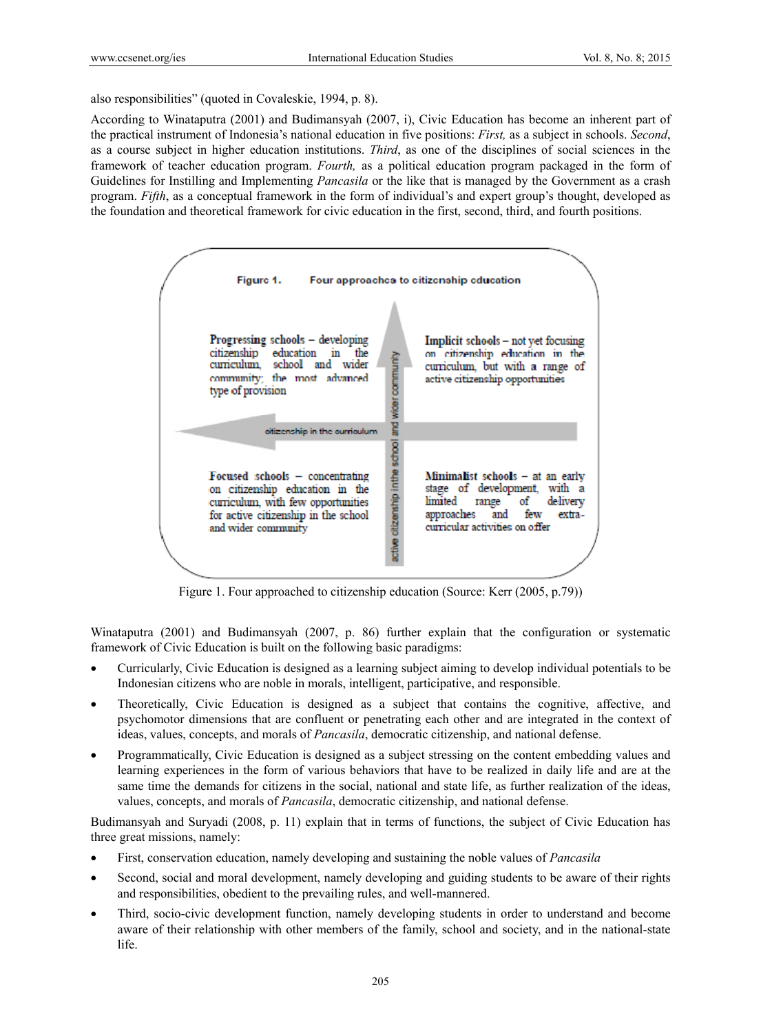also responsibilities" (quoted in Covaleskie, 1994, p. 8).

According to Winataputra (2001) and Budimansyah (2007, i), Civic Education has become an inherent part of the practical instrument of Indonesia's national education in five positions: *First,* as a subject in schools. *Second*, as a course subject in higher education institutions. *Third*, as one of the disciplines of social sciences in the framework of teacher education program. *Fourth,* as a political education program packaged in the form of Guidelines for Instilling and Implementing *Pancasila* or the like that is managed by the Government as a crash program. *Fifth*, as a conceptual framework in the form of individual's and expert group's thought, developed as the foundation and theoretical framework for civic education in the first, second, third, and fourth positions.



Figure 1. Four approached to citizenship education (Source: Kerr (2005, p.79))

Winataputra (2001) and Budimansyah (2007, p. 86) further explain that the configuration or systematic framework of Civic Education is built on the following basic paradigms:

- Curricularly, Civic Education is designed as a learning subject aiming to develop individual potentials to be Indonesian citizens who are noble in morals, intelligent, participative, and responsible.
- Theoretically, Civic Education is designed as a subject that contains the cognitive, affective, and psychomotor dimensions that are confluent or penetrating each other and are integrated in the context of ideas, values, concepts, and morals of *Pancasila*, democratic citizenship, and national defense.
- Programmatically, Civic Education is designed as a subject stressing on the content embedding values and learning experiences in the form of various behaviors that have to be realized in daily life and are at the same time the demands for citizens in the social, national and state life, as further realization of the ideas, values, concepts, and morals of *Pancasila*, democratic citizenship, and national defense.

Budimansyah and Suryadi (2008, p. 11) explain that in terms of functions, the subject of Civic Education has three great missions, namely:

- First, conservation education, namely developing and sustaining the noble values of *Pancasila*
- Second, social and moral development, namely developing and guiding students to be aware of their rights and responsibilities, obedient to the prevailing rules, and well-mannered.
- Third, socio-civic development function, namely developing students in order to understand and become aware of their relationship with other members of the family, school and society, and in the national-state life.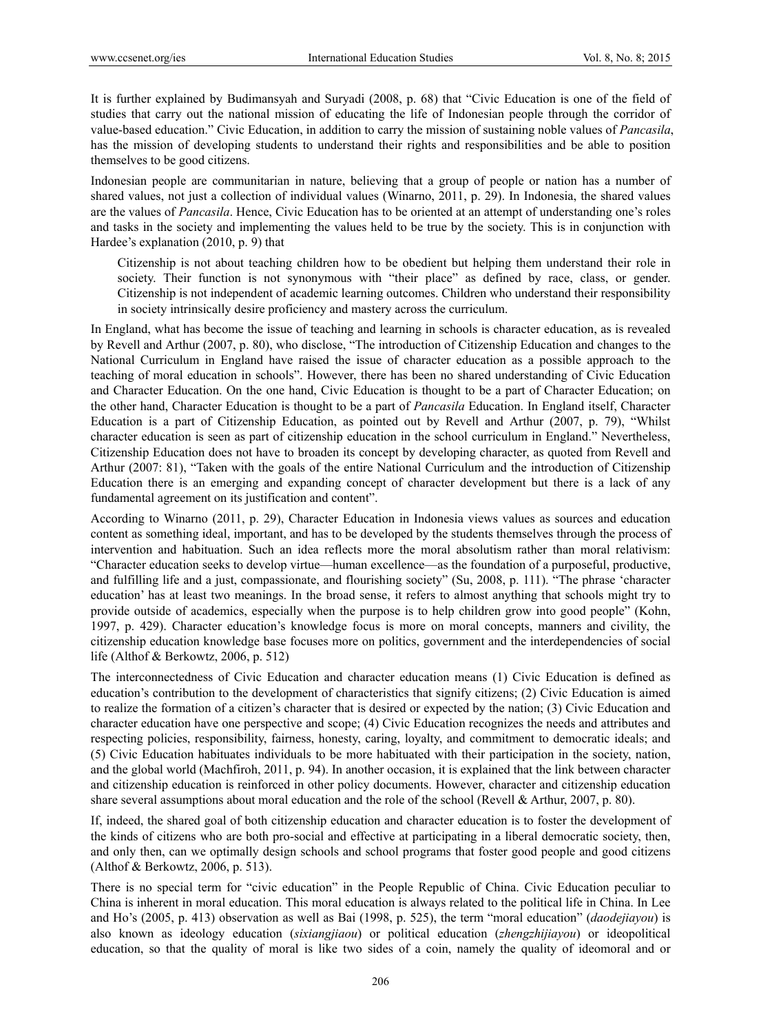It is further explained by Budimansyah and Suryadi (2008, p. 68) that "Civic Education is one of the field of studies that carry out the national mission of educating the life of Indonesian people through the corridor of value-based education." Civic Education, in addition to carry the mission of sustaining noble values of *Pancasila*, has the mission of developing students to understand their rights and responsibilities and be able to position themselves to be good citizens.

Indonesian people are communitarian in nature, believing that a group of people or nation has a number of shared values, not just a collection of individual values (Winarno, 2011, p. 29). In Indonesia, the shared values are the values of *Pancasila*. Hence, Civic Education has to be oriented at an attempt of understanding one's roles and tasks in the society and implementing the values held to be true by the society. This is in conjunction with Hardee's explanation (2010, p. 9) that

Citizenship is not about teaching children how to be obedient but helping them understand their role in society. Their function is not synonymous with "their place" as defined by race, class, or gender. Citizenship is not independent of academic learning outcomes. Children who understand their responsibility in society intrinsically desire proficiency and mastery across the curriculum.

In England, what has become the issue of teaching and learning in schools is character education, as is revealed by Revell and Arthur (2007, p. 80), who disclose, "The introduction of Citizenship Education and changes to the National Curriculum in England have raised the issue of character education as a possible approach to the teaching of moral education in schools". However, there has been no shared understanding of Civic Education and Character Education. On the one hand, Civic Education is thought to be a part of Character Education; on the other hand, Character Education is thought to be a part of *Pancasila* Education. In England itself, Character Education is a part of Citizenship Education, as pointed out by Revell and Arthur (2007, p. 79), "Whilst character education is seen as part of citizenship education in the school curriculum in England." Nevertheless, Citizenship Education does not have to broaden its concept by developing character, as quoted from Revell and Arthur (2007: 81), "Taken with the goals of the entire National Curriculum and the introduction of Citizenship Education there is an emerging and expanding concept of character development but there is a lack of any fundamental agreement on its justification and content".

According to Winarno (2011, p. 29), Character Education in Indonesia views values as sources and education content as something ideal, important, and has to be developed by the students themselves through the process of intervention and habituation. Such an idea reflects more the moral absolutism rather than moral relativism: "Character education seeks to develop virtue—human excellence—as the foundation of a purposeful, productive, and fulfilling life and a just, compassionate, and flourishing society" (Su, 2008, p. 111). "The phrase 'character education' has at least two meanings. In the broad sense, it refers to almost anything that schools might try to provide outside of academics, especially when the purpose is to help children grow into good people" (Kohn, 1997, p. 429). Character education's knowledge focus is more on moral concepts, manners and civility, the citizenship education knowledge base focuses more on politics, government and the interdependencies of social life (Althof & Berkowtz, 2006, p. 512)

The interconnectedness of Civic Education and character education means (1) Civic Education is defined as education's contribution to the development of characteristics that signify citizens; (2) Civic Education is aimed to realize the formation of a citizen's character that is desired or expected by the nation; (3) Civic Education and character education have one perspective and scope; (4) Civic Education recognizes the needs and attributes and respecting policies, responsibility, fairness, honesty, caring, loyalty, and commitment to democratic ideals; and (5) Civic Education habituates individuals to be more habituated with their participation in the society, nation, and the global world (Machfiroh, 2011, p. 94). In another occasion, it is explained that the link between character and citizenship education is reinforced in other policy documents. However, character and citizenship education share several assumptions about moral education and the role of the school (Revell & Arthur, 2007, p. 80).

If, indeed, the shared goal of both citizenship education and character education is to foster the development of the kinds of citizens who are both pro-social and effective at participating in a liberal democratic society, then, and only then, can we optimally design schools and school programs that foster good people and good citizens (Althof & Berkowtz, 2006, p. 513).

There is no special term for "civic education" in the People Republic of China. Civic Education peculiar to China is inherent in moral education. This moral education is always related to the political life in China. In Lee and Ho's (2005, p. 413) observation as well as Bai (1998, p. 525), the term "moral education" (*daodejiayou*) is also known as ideology education (*sixiangjiaou*) or political education (*zhengzhijiayou*) or ideopolitical education, so that the quality of moral is like two sides of a coin, namely the quality of ideomoral and or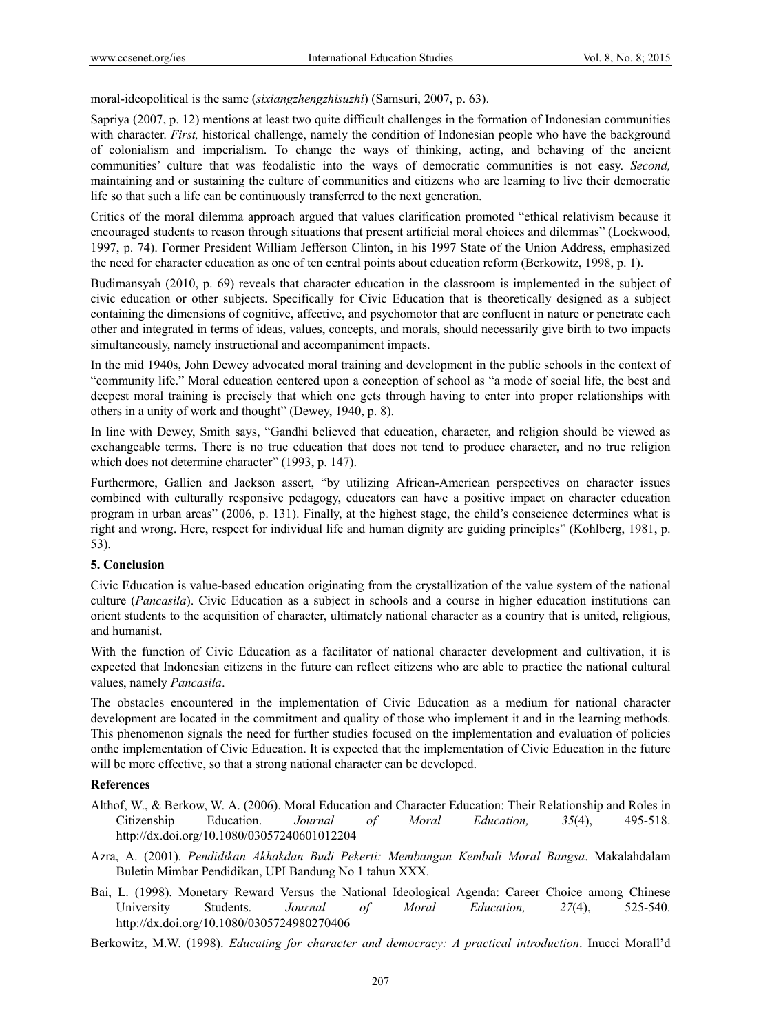moral-ideopolitical is the same (*sixiangzhengzhisuzhi*) (Samsuri, 2007, p. 63).

Sapriya (2007, p. 12) mentions at least two quite difficult challenges in the formation of Indonesian communities with character. *First*, historical challenge, namely the condition of Indonesian people who have the background of colonialism and imperialism. To change the ways of thinking, acting, and behaving of the ancient communities' culture that was feodalistic into the ways of democratic communities is not easy. *Second,*  maintaining and or sustaining the culture of communities and citizens who are learning to live their democratic life so that such a life can be continuously transferred to the next generation.

Critics of the moral dilemma approach argued that values clarification promoted "ethical relativism because it encouraged students to reason through situations that present artificial moral choices and dilemmas" (Lockwood, 1997, p. 74). Former President William Jefferson Clinton, in his 1997 State of the Union Address, emphasized the need for character education as one of ten central points about education reform (Berkowitz, 1998, p. 1).

Budimansyah (2010, p. 69) reveals that character education in the classroom is implemented in the subject of civic education or other subjects. Specifically for Civic Education that is theoretically designed as a subject containing the dimensions of cognitive, affective, and psychomotor that are confluent in nature or penetrate each other and integrated in terms of ideas, values, concepts, and morals, should necessarily give birth to two impacts simultaneously, namely instructional and accompaniment impacts.

In the mid 1940s, John Dewey advocated moral training and development in the public schools in the context of "community life." Moral education centered upon a conception of school as "a mode of social life, the best and deepest moral training is precisely that which one gets through having to enter into proper relationships with others in a unity of work and thought" (Dewey, 1940, p. 8).

In line with Dewey, Smith says, "Gandhi believed that education, character, and religion should be viewed as exchangeable terms. There is no true education that does not tend to produce character, and no true religion which does not determine character" (1993, p. 147).

Furthermore, Gallien and Jackson assert, "by utilizing African-American perspectives on character issues combined with culturally responsive pedagogy, educators can have a positive impact on character education program in urban areas" (2006, p. 131). Finally, at the highest stage, the child's conscience determines what is right and wrong. Here, respect for individual life and human dignity are guiding principles" (Kohlberg, 1981, p. 53).

## **5. Conclusion**

Civic Education is value-based education originating from the crystallization of the value system of the national culture (*Pancasila*). Civic Education as a subject in schools and a course in higher education institutions can orient students to the acquisition of character, ultimately national character as a country that is united, religious, and humanist.

With the function of Civic Education as a facilitator of national character development and cultivation, it is expected that Indonesian citizens in the future can reflect citizens who are able to practice the national cultural values, namely *Pancasila*.

The obstacles encountered in the implementation of Civic Education as a medium for national character development are located in the commitment and quality of those who implement it and in the learning methods. This phenomenon signals the need for further studies focused on the implementation and evaluation of policies onthe implementation of Civic Education. It is expected that the implementation of Civic Education in the future will be more effective, so that a strong national character can be developed.

## **References**

- Althof, W., & Berkow, W. A. (2006). Moral Education and Character Education: Their Relationship and Roles in Citizenship Education. *Journal of Moral Education, 35*(4), 495-518. http://dx.doi.org/10.1080/03057240601012204
- Azra, A. (2001). *Pendidikan Akhakdan Budi Pekerti: Membangun Kembali Moral Bangsa*. Makalahdalam Buletin Mimbar Pendidikan, UPI Bandung No 1 tahun XXX.
- Bai, L. (1998). Monetary Reward Versus the National Ideological Agenda: Career Choice among Chinese University Students. *Journal of Moral Education, 27*(4), 525-540. http://dx.doi.org/10.1080/0305724980270406

Berkowitz, M.W. (1998). *Educating for character and democracy: A practical introduction*. Inucci Morall'd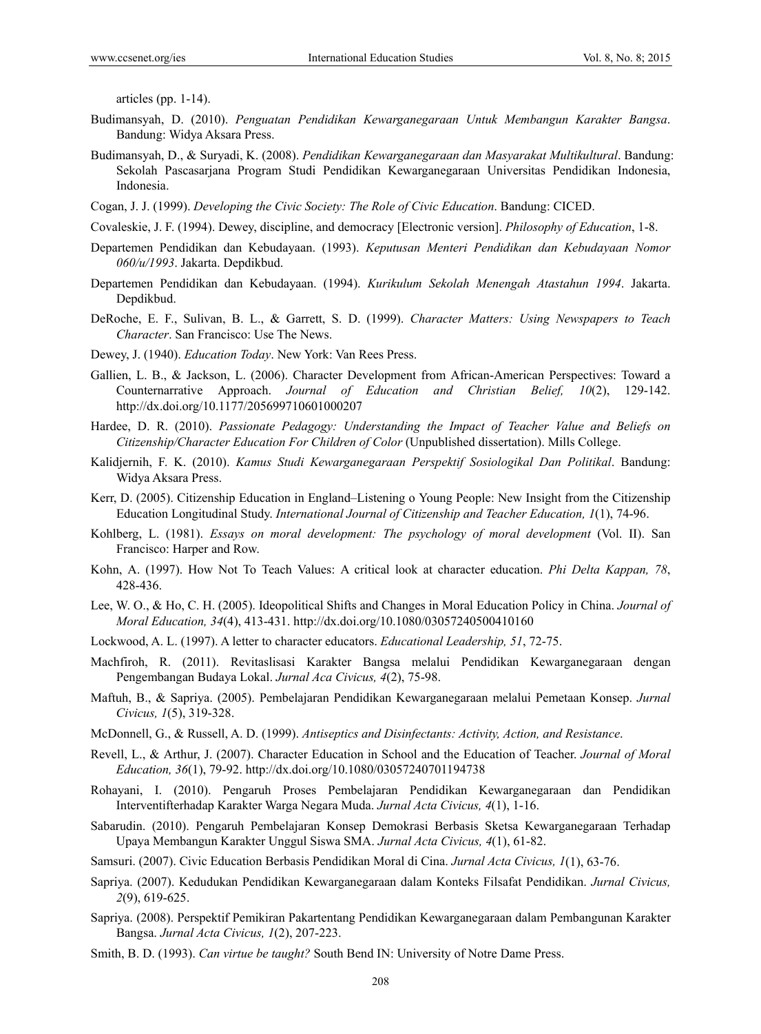articles (pp. 1-14).

- Budimansyah, D. (2010). *Penguatan Pendidikan Kewarganegaraan Untuk Membangun Karakter Bangsa*. Bandung: Widya Aksara Press.
- Budimansyah, D., & Suryadi, K. (2008). *Pendidikan Kewarganegaraan dan Masyarakat Multikultural*. Bandung: Sekolah Pascasarjana Program Studi Pendidikan Kewarganegaraan Universitas Pendidikan Indonesia, Indonesia.
- Cogan, J. J. (1999). *Developing the Civic Society: The Role of Civic Education*. Bandung: CICED.
- Covaleskie, J. F. (1994). Dewey, discipline, and democracy [Electronic version]. *Philosophy of Education*, 1-8.
- Departemen Pendidikan dan Kebudayaan. (1993). *Keputusan Menteri Pendidikan dan Kebudayaan Nomor 060/u/1993*. Jakarta. Depdikbud.
- Departemen Pendidikan dan Kebudayaan. (1994). *Kurikulum Sekolah Menengah Atastahun 1994*. Jakarta. Depdikbud.
- DeRoche, E. F., Sulivan, B. L., & Garrett, S. D. (1999). *Character Matters: Using Newspapers to Teach Character*. San Francisco: Use The News.
- Dewey, J. (1940). *Education Today*. New York: Van Rees Press.
- Gallien, L. B., & Jackson, L. (2006). Character Development from African-American Perspectives: Toward a Counternarrative Approach. *Journal of Education and Christian Belief, 10*(2), 129-142. http://dx.doi.org/10.1177/205699710601000207
- Hardee, D. R. (2010). *Passionate Pedagogy: Understanding the Impact of Teacher Value and Beliefs on Citizenship/Character Education For Children of Color* (Unpublished dissertation). Mills College.
- Kalidjernih, F. K. (2010). *Kamus Studi Kewarganegaraan Perspektif Sosiologikal Dan Politikal*. Bandung: Widya Aksara Press.
- Kerr, D. (2005). Citizenship Education in England–Listening o Young People: New Insight from the Citizenship Education Longitudinal Study. *International Journal of Citizenship and Teacher Education, 1*(1), 74-96.
- Kohlberg, L. (1981). *Essays on moral development: The psychology of moral development* (Vol. II). San Francisco: Harper and Row.
- Kohn, A. (1997). How Not To Teach Values: A critical look at character education. *Phi Delta Kappan, 78*, 428-436.
- Lee, W. O., & Ho, C. H. (2005). Ideopolitical Shifts and Changes in Moral Education Policy in China. *Journal of Moral Education, 34*(4), 413-431. http://dx.doi.org/10.1080/03057240500410160
- Lockwood, A. L. (1997). A letter to character educators. *Educational Leadership, 51*, 72-75.
- Machfiroh, R. (2011). Revitaslisasi Karakter Bangsa melalui Pendidikan Kewarganegaraan dengan Pengembangan Budaya Lokal. *Jurnal Aca Civicus, 4*(2), 75-98.
- Maftuh, B., & Sapriya. (2005). Pembelajaran Pendidikan Kewarganegaraan melalui Pemetaan Konsep. *Jurnal Civicus, 1*(5), 319-328.
- McDonnell, G., & Russell, A. D. (1999). *Antiseptics and Disinfectants: Activity, Action, and Resistance*.
- Revell, L., & Arthur, J. (2007). Character Education in School and the Education of Teacher. *Journal of Moral Education, 36*(1), 79-92. http://dx.doi.org/10.1080/03057240701194738
- Rohayani, I. (2010). Pengaruh Proses Pembelajaran Pendidikan Kewarganegaraan dan Pendidikan Interventifterhadap Karakter Warga Negara Muda. *Jurnal Acta Civicus, 4*(1), 1-16.
- Sabarudin. (2010). Pengaruh Pembelajaran Konsep Demokrasi Berbasis Sketsa Kewarganegaraan Terhadap Upaya Membangun Karakter Unggul Siswa SMA. *Jurnal Acta Civicus, 4*(1), 61-82.
- Samsuri. (2007). Civic Education Berbasis Pendidikan Moral di Cina. *Jurnal Acta Civicus, 1*(1), 63-76.
- Sapriya. (2007). Kedudukan Pendidikan Kewarganegaraan dalam Konteks Filsafat Pendidikan. *Jurnal Civicus, 2*(9), 619-625.
- Sapriya. (2008). Perspektif Pemikiran Pakartentang Pendidikan Kewarganegaraan dalam Pembangunan Karakter Bangsa. *Jurnal Acta Civicus, 1*(2), 207-223.
- Smith, B. D. (1993). *Can virtue be taught?* South Bend IN: University of Notre Dame Press.